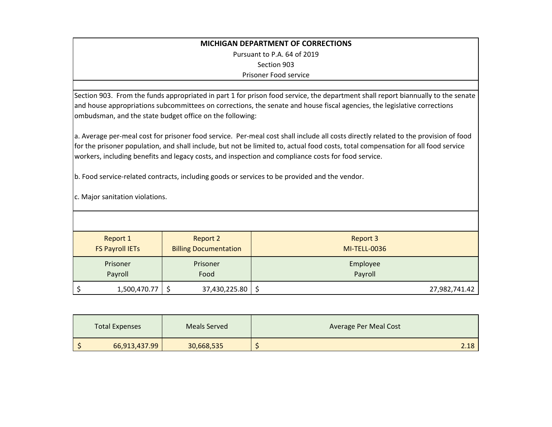| <b>MICHIGAN DEPARTMENT OF CORRECTIONS</b>                                                                                                                                                                                                                                                                                                                                                                                                                                                                           |  |  |  |  |  |
|---------------------------------------------------------------------------------------------------------------------------------------------------------------------------------------------------------------------------------------------------------------------------------------------------------------------------------------------------------------------------------------------------------------------------------------------------------------------------------------------------------------------|--|--|--|--|--|
| Pursuant to P.A. 64 of 2019                                                                                                                                                                                                                                                                                                                                                                                                                                                                                         |  |  |  |  |  |
| Section 903                                                                                                                                                                                                                                                                                                                                                                                                                                                                                                         |  |  |  |  |  |
| Prisoner Food service                                                                                                                                                                                                                                                                                                                                                                                                                                                                                               |  |  |  |  |  |
|                                                                                                                                                                                                                                                                                                                                                                                                                                                                                                                     |  |  |  |  |  |
| Section 903. From the funds appropriated in part 1 for prison food service, the department shall report biannually to the senate                                                                                                                                                                                                                                                                                                                                                                                    |  |  |  |  |  |
| and house appropriations subcommittees on corrections, the senate and house fiscal agencies, the legislative corrections                                                                                                                                                                                                                                                                                                                                                                                            |  |  |  |  |  |
| ombudsman, and the state budget office on the following:                                                                                                                                                                                                                                                                                                                                                                                                                                                            |  |  |  |  |  |
| a. Average per-meal cost for prisoner food service. Per-meal cost shall include all costs directly related to the provision of food<br>for the prisoner population, and shall include, but not be limited to, actual food costs, total compensation for all food service<br>workers, including benefits and legacy costs, and inspection and compliance costs for food service.<br>b. Food service-related contracts, including goods or services to be provided and the vendor.<br>c. Major sanitation violations. |  |  |  |  |  |
|                                                                                                                                                                                                                                                                                                                                                                                                                                                                                                                     |  |  |  |  |  |
| <b>Report 2</b><br><b>Report 1</b><br><b>Report 3</b>                                                                                                                                                                                                                                                                                                                                                                                                                                                               |  |  |  |  |  |
| <b>FS Payroll IETs</b><br><b>Billing Documentation</b><br><b>MI-TELL-0036</b>                                                                                                                                                                                                                                                                                                                                                                                                                                       |  |  |  |  |  |
| Prisoner<br>Prisoner<br>Employee                                                                                                                                                                                                                                                                                                                                                                                                                                                                                    |  |  |  |  |  |
| Payroll<br>Payroll<br>Food                                                                                                                                                                                                                                                                                                                                                                                                                                                                                          |  |  |  |  |  |
| 1,500,470.77<br>\$<br>37,430,225.80<br>\$<br>\$<br>27,982,741.42                                                                                                                                                                                                                                                                                                                                                                                                                                                    |  |  |  |  |  |

| <b>Total Expenses</b> | Meals Served | <b>Average Per Meal Cost</b> |
|-----------------------|--------------|------------------------------|
| 66,913,437.99         | 30,668,535   | 2.18                         |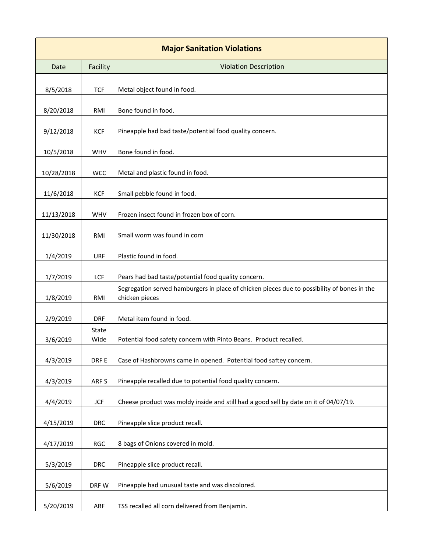| <b>Major Sanitation Violations</b> |               |                                                                                                               |  |  |  |
|------------------------------------|---------------|---------------------------------------------------------------------------------------------------------------|--|--|--|
| Date                               | Facility      | <b>Violation Description</b>                                                                                  |  |  |  |
| 8/5/2018                           | <b>TCF</b>    | Metal object found in food.                                                                                   |  |  |  |
| 8/20/2018                          | RMI           | Bone found in food.                                                                                           |  |  |  |
| 9/12/2018                          | <b>KCF</b>    | Pineapple had bad taste/potential food quality concern.                                                       |  |  |  |
| 10/5/2018                          | WHV           | Bone found in food.                                                                                           |  |  |  |
| 10/28/2018                         | <b>WCC</b>    | Metal and plastic found in food.                                                                              |  |  |  |
| 11/6/2018                          | KCF           | Small pebble found in food.                                                                                   |  |  |  |
| 11/13/2018                         | <b>WHV</b>    | Frozen insect found in frozen box of corn.                                                                    |  |  |  |
| 11/30/2018                         | RMI           | Small worm was found in corn                                                                                  |  |  |  |
| 1/4/2019                           | URF           | Plastic found in food.                                                                                        |  |  |  |
| 1/7/2019                           | LCF           | Pears had bad taste/potential food quality concern.                                                           |  |  |  |
| 1/8/2019                           | RMI           | Segregation served hamburgers in place of chicken pieces due to possibility of bones in the<br>chicken pieces |  |  |  |
| 2/9/2019                           | <b>DRF</b>    | Metal item found in food.                                                                                     |  |  |  |
| 3/6/2019                           | State<br>Wide | Potential food safety concern with Pinto Beans. Product recalled.                                             |  |  |  |
| 4/3/2019                           | DRF E         | Case of Hashbrowns came in opened. Potential food saftey concern.                                             |  |  |  |
| 4/3/2019                           | ARF S         | Pineapple recalled due to potential food quality concern.                                                     |  |  |  |
| 4/4/2019                           | <b>JCF</b>    | Cheese product was moldy inside and still had a good sell by date on it of 04/07/19.                          |  |  |  |
| 4/15/2019                          | <b>DRC</b>    | Pineapple slice product recall.                                                                               |  |  |  |
| 4/17/2019                          | <b>RGC</b>    | 8 bags of Onions covered in mold.                                                                             |  |  |  |
| 5/3/2019                           | <b>DRC</b>    | Pineapple slice product recall.                                                                               |  |  |  |
| 5/6/2019                           | DRF W         | Pineapple had unusual taste and was discolored.                                                               |  |  |  |
| 5/20/2019                          | ARF           | TSS recalled all corn delivered from Benjamin.                                                                |  |  |  |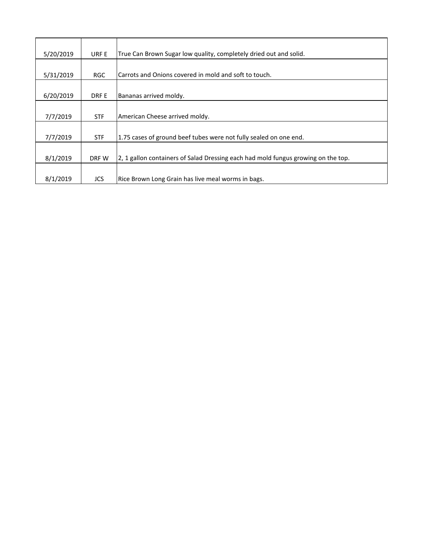| 5/20/2019<br>True Can Brown Sugar low quality, completely dried out and solid.<br>URF E |                                                           |                                                                                   |
|-----------------------------------------------------------------------------------------|-----------------------------------------------------------|-----------------------------------------------------------------------------------|
|                                                                                         |                                                           |                                                                                   |
| 5/31/2019                                                                               | <b>RGC</b>                                                | Carrots and Onions covered in mold and soft to touch.                             |
|                                                                                         |                                                           |                                                                                   |
| 6/20/2019                                                                               | DRF E                                                     | Bananas arrived moldy.                                                            |
|                                                                                         |                                                           |                                                                                   |
| 7/7/2019                                                                                | <b>STF</b>                                                | American Cheese arrived moldy.                                                    |
|                                                                                         |                                                           |                                                                                   |
| 7/7/2019                                                                                | <b>STF</b>                                                | 1.75 cases of ground beef tubes were not fully sealed on one end.                 |
|                                                                                         |                                                           |                                                                                   |
| 8/1/2019                                                                                | DRF W                                                     | 2, 1 gallon containers of Salad Dressing each had mold fungus growing on the top. |
|                                                                                         |                                                           |                                                                                   |
| 8/1/2019                                                                                | Rice Brown Long Grain has live meal worms in bags.<br>JCS |                                                                                   |